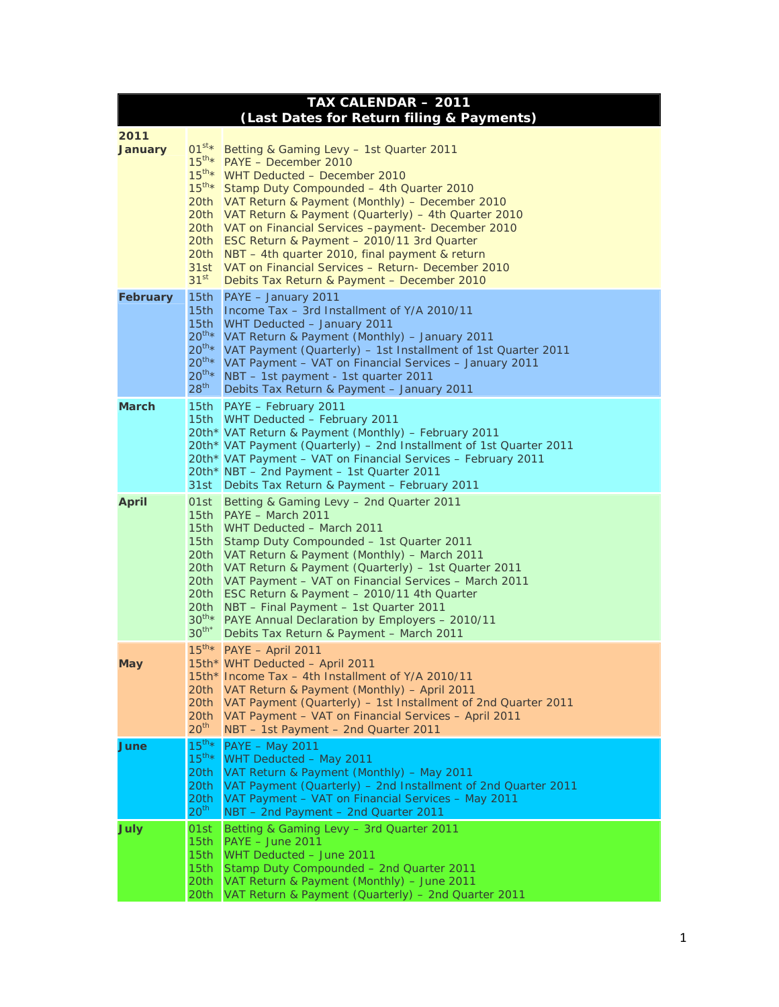| TAX CALENDAR - 2011<br>(Last Dates for Return filing & Payments) |                                                                                                                    |                                                                                                                                                                                                                                                                                                                                                                                                                                                                                                                                         |
|------------------------------------------------------------------|--------------------------------------------------------------------------------------------------------------------|-----------------------------------------------------------------------------------------------------------------------------------------------------------------------------------------------------------------------------------------------------------------------------------------------------------------------------------------------------------------------------------------------------------------------------------------------------------------------------------------------------------------------------------------|
| 2011<br><b>January</b>                                           | $01^{st}$ *<br>$15^{\text{th}\star}$<br>$15^{\text{th}\star}$<br>$15^{\text{th}\star}$<br>31st<br>31 <sup>st</sup> | Betting & Gaming Levy - 1st Quarter 2011<br>PAYE - December 2010<br>WHT Deducted - December 2010<br>Stamp Duty Compounded - 4th Quarter 2010<br>20th VAT Return & Payment (Monthly) - December 2010<br>20th VAT Return & Payment (Quarterly) - 4th Quarter 2010<br>20th VAT on Financial Services -payment- December 2010<br>20th ESC Return & Payment - 2010/11 3rd Quarter<br>20th NBT - 4th quarter 2010, final payment & return<br>VAT on Financial Services - Return- December 2010<br>Debits Tax Return & Payment - December 2010 |
| <b>February</b>                                                  | 15th<br>15 <sub>th</sub><br>15th<br>$20^{th}$ *<br>$20^{th}$ *<br>$20^{th}$ *<br>$20^{th}$ *<br>28 <sup>th</sup>   | PAYE - January 2011<br>Income Tax – 3rd Installment of Y/A 2010/11<br>WHT Deducted - January 2011<br>VAT Return & Payment (Monthly) - January 2011<br>VAT Payment (Quarterly) – 1st Installment of 1st Quarter 2011<br>VAT Payment - VAT on Financial Services - January 2011<br>NBT - 1st payment - 1st quarter 2011<br>Debits Tax Return & Payment - January 2011                                                                                                                                                                     |
| <b>March</b>                                                     | 31st                                                                                                               | 15th PAYE - February 2011<br>15th WHT Deducted - February 2011<br>20th* VAT Return & Payment (Monthly) - February 2011<br>20th* VAT Payment (Quarterly) – 2nd Installment of 1st Quarter 2011<br>20th* VAT Payment - VAT on Financial Services - February 2011<br>20th* NBT - 2nd Payment - 1st Quarter 2011<br>Debits Tax Return & Payment - February 2011                                                                                                                                                                             |
| <b>April</b>                                                     | 01st<br>15th<br>20th<br>20th<br>20th<br>20th<br>$30^{th}$ *<br>$30^{th*}$                                          | Betting & Gaming Levy - 2nd Quarter 2011<br>15th PAYE - March 2011<br>15th WHT Deducted - March 2011<br>Stamp Duty Compounded - 1st Quarter 2011<br>VAT Return & Payment (Monthly) - March 2011<br>20th VAT Return & Payment (Quarterly) - 1st Quarter 2011<br>VAT Payment - VAT on Financial Services - March 2011<br>ESC Return & Payment - 2010/11 4th Quarter<br>NBT - Final Payment - 1st Quarter 2011<br>PAYE Annual Declaration by Employers - 2010/11<br>Debits Tax Return & Payment - March 2011                               |
| May                                                              | $15^{\text{th}\star}$<br>20th<br>20th<br>20th<br>20 <sup>th</sup>                                                  | PAYE - April 2011<br>15th* WHT Deducted - April 2011<br>15th* Income Tax - 4th Installment of Y/A 2010/11<br>VAT Return & Payment (Monthly) - April 2011<br>VAT Payment (Quarterly) – 1st Installment of 2nd Quarter 2011<br>VAT Payment - VAT on Financial Services - April 2011<br>NBT - 1st Payment - 2nd Quarter 2011                                                                                                                                                                                                               |
| June                                                             | $15^{th}$ *<br>$15^{th*}$<br>20th<br>20th<br>20th<br>20 <sup>th</sup>                                              | <b>PAYE - May 2011</b><br>WHT Deducted - May 2011<br>VAT Return & Payment (Monthly) - May 2011<br>VAT Payment (Quarterly) – 2nd Installment of 2nd Quarter 2011<br>VAT Payment - VAT on Financial Services - May 2011<br>NBT - 2nd Payment - 2nd Quarter 2011                                                                                                                                                                                                                                                                           |
| <b>July</b>                                                      | 01st<br>15th<br>15th<br>15th<br>20th<br>20th                                                                       | Betting & Gaming Levy - 3rd Quarter 2011<br>PAYE - June 2011<br>WHT Deducted - June 2011<br>Stamp Duty Compounded - 2nd Quarter 2011<br>VAT Return & Payment (Monthly) - June 2011<br>VAT Return & Payment (Quarterly) - 2nd Quarter 2011                                                                                                                                                                                                                                                                                               |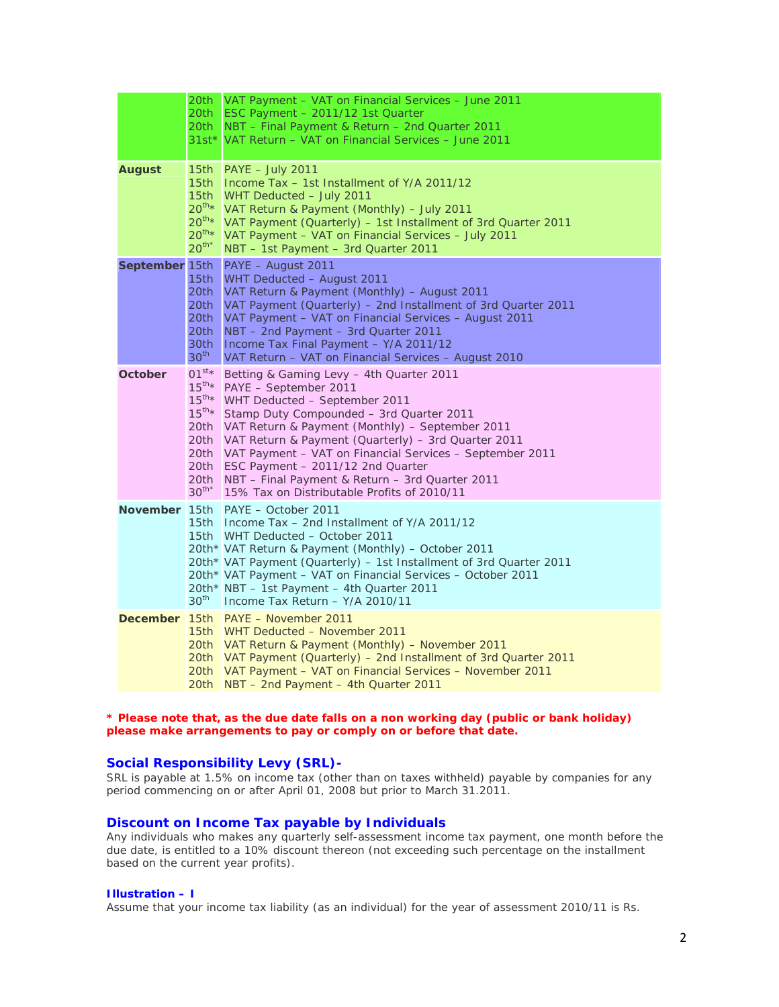|                 | 20th<br>20th<br>20th<br>$31st*$                                                                                              | VAT Payment - VAT on Financial Services - June 2011<br>ESC Payment - 2011/12 1st Quarter<br>NBT - Final Payment & Return - 2nd Quarter 2011<br>VAT Return – VAT on Financial Services – June 2011                                                                                                                                                                                                                                                                     |
|-----------------|------------------------------------------------------------------------------------------------------------------------------|-----------------------------------------------------------------------------------------------------------------------------------------------------------------------------------------------------------------------------------------------------------------------------------------------------------------------------------------------------------------------------------------------------------------------------------------------------------------------|
| <b>August</b>   | 15 <sub>th</sub><br>15 <sub>th</sub><br>15 <sub>th</sub><br>$20^{th}$ *<br>$20^{th}$ *<br>$20^{th*}$<br>$20^{th*}$           | $PAYE - July 2011$<br>Income Tax - 1st Installment of Y/A 2011/12<br>WHT Deducted - July 2011<br>VAT Return & Payment (Monthly) - July 2011<br>VAT Payment (Quarterly) - 1st Installment of 3rd Quarter 2011<br>VAT Payment - VAT on Financial Services - July 2011<br>NBT - 1st Payment - 3rd Quarter 2011                                                                                                                                                           |
| September 15th  | 15th<br>20th<br>20th<br>20th<br>20th<br>30th<br>30 <sup>th</sup>                                                             | PAYE - August 2011<br>WHT Deducted - August 2011<br>VAT Return & Payment (Monthly) - August 2011<br>VAT Payment (Quarterly) - 2nd Installment of 3rd Quarter 2011<br>VAT Payment - VAT on Financial Services - August 2011<br>NBT - 2nd Payment - 3rd Quarter 2011<br>Income Tax Final Payment - Y/A 2011/12<br>VAT Return - VAT on Financial Services - August 2010                                                                                                  |
| October         | $01^{st}$ *<br>$15^{\text{th}\star}$<br>$15^{\text{th}\star}$<br>$15^{\text{th}\star}$<br>20th<br>20th<br>20th<br>$30^{th*}$ | Betting & Gaming Levy - 4th Quarter 2011<br>PAYE - September 2011<br>WHT Deducted - September 2011<br>Stamp Duty Compounded - 3rd Quarter 2011<br>VAT Return & Payment (Monthly) – September 2011<br>VAT Return & Payment (Quarterly) - 3rd Quarter 2011<br>20th VAT Payment - VAT on Financial Services - September 2011<br>20th ESC Payment - 2011/12 2nd Quarter<br>NBT – Final Payment & Return – 3rd Quarter 2011<br>15% Tax on Distributable Profits of 2010/11 |
|                 | 30 <sup>th</sup>                                                                                                             | November 15th PAYE - October 2011<br>15th Income Tax - 2nd Installment of Y/A 2011/12<br>15th WHT Deducted - October 2011<br>20th* VAT Return & Payment (Monthly) - October 2011<br>20th* VAT Payment (Quarterly) – 1st Installment of 3rd Quarter 2011<br>20th* VAT Payment – VAT on Financial Services – October 2011<br>20th* NBT - 1st Payment - 4th Quarter 2011<br>Income Tax Return - Y/A 2010/11                                                              |
| <b>December</b> |                                                                                                                              | 15th PAYE - November 2011<br>15th WHT Deducted - November 2011<br>20th VAT Return & Payment (Monthly) - November 2011<br>20th VAT Payment (Quarterly) – 2nd Installment of 3rd Quarter 2011<br>20th VAT Payment - VAT on Financial Services - November 2011<br>20th NBT - 2nd Payment - 4th Quarter 2011                                                                                                                                                              |

### **\* Please note that, as the due date falls on a non working day (public or bank holiday) please make arrangements to pay or comply on or before that date.**

# **Social Responsibility Levy (SRL)-**

SRL is payable at 1.5% on income tax (other than on taxes withheld) payable by companies for any period commencing on or after April 01, 2008 but prior to March 31.2011.

## **Discount on Income Tax payable by Individuals**

Any individuals who makes any quarterly self-assessment income tax payment, one month before the due date, is entitled to a 10% discount thereon (not exceeding such percentage on the installment based on the current year profits).

### **Illustration – I**

Assume that your income tax liability (as an individual) for the year of assessment 2010/11 is Rs.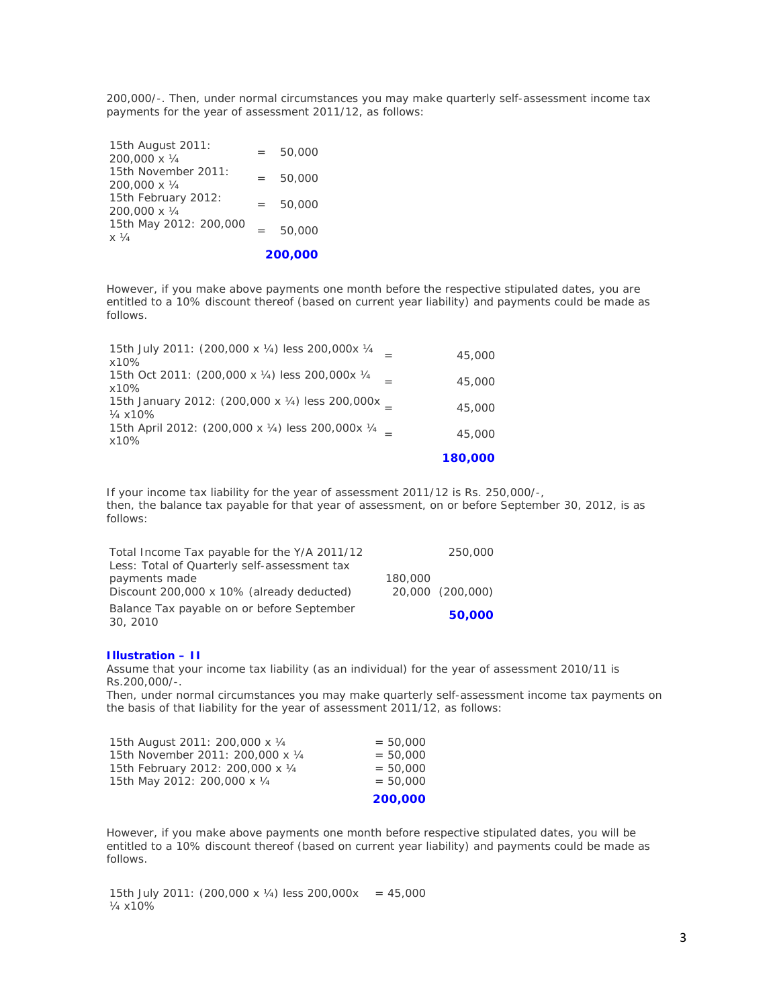200,000/-. Then, under normal circumstances you may make quarterly self-assessment income tax payments for the year of assessment 2011/12, as follows:

|                                                |     | 200,000 |
|------------------------------------------------|-----|---------|
| 15th May 2012: 200,000<br>$\times \frac{1}{4}$ | $=$ | 50,000  |
| 15th February 2012:<br>200,000 x 1/4           | $=$ | 50,000  |
| 15th November 2011:<br>200,000 x 1/4           | $=$ | 50,000  |
| 15th August 2011:<br>200,000 x 1/4             | $=$ | 50,000  |

However, if you make above payments one month before the respective stipulated dates, you are entitled to a 10% discount thereof (based on current year liability) and payments could be made as follows.

| 15th July 2011: (200,000 x 1/4) less 200,000x 1/4<br>x10%               | 45,000  |
|-------------------------------------------------------------------------|---------|
| 15th Oct 2011: (200,000 x 1/4) less 200,000x 1/4<br>x10%                | 45,000  |
| 15th January 2012: (200,000 x 1/4) less 200,000x<br>$\frac{1}{4}$ x 10% | 45,000  |
| 15th April 2012: (200,000 x 1/4) less 200,000x 1/4<br>x10%              | 45,000  |
|                                                                         | 180,000 |

If your income tax liability for the year of assessment 2011/12 is Rs. 250,000/-, then, the balance tax payable for that year of assessment, on or before September 30, 2012, is as follows:

| Total Income Tax payable for the Y/A 2011/12           |         | 250,000          |
|--------------------------------------------------------|---------|------------------|
| Less: Total of Quarterly self-assessment tax           |         |                  |
| payments made                                          | 180,000 |                  |
| Discount 200,000 x 10% (already deducted)              |         | 20,000 (200,000) |
| Balance Tax payable on or before September<br>30, 2010 |         | 50,000           |

#### **Illustration – II**

Assume that your income tax liability (as an individual) for the year of assessment 2010/11 is Rs.200,000/-.

Then, under normal circumstances you may make quarterly self-assessment income tax payments on the basis of that liability for the year of assessment 2011/12, as follows:

|                                   | 200,000    |
|-----------------------------------|------------|
| 15th May 2012: 200,000 x 1/4      | $= 50,000$ |
| 15th February 2012: 200,000 x 1/4 | $= 50,000$ |
| 15th November 2011: 200,000 x 1/4 | $= 50,000$ |
| 15th August 2011: 200,000 x 1/4   | $= 50,000$ |

However, if you make above payments one month before respective stipulated dates, you will be entitled to a 10% discount thereof (based on current year liability) and payments could be made as follows.

15th July 2011: (200,000 x ¼) less 200,000x = 45,000 ¼ x10%